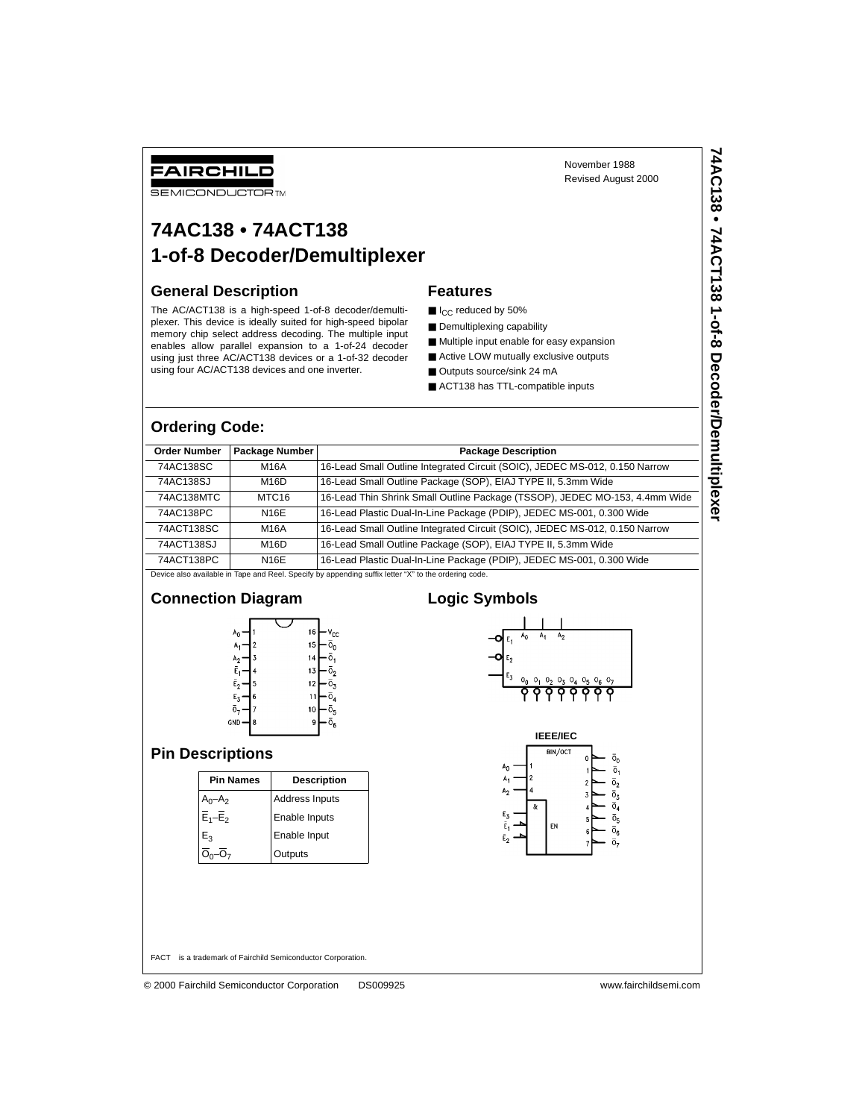## FAIRCHILD

**SEMICONDUCTOR TM** 

## **74AC138 • 74ACT138 1-of-8 Decoder/Demultiplexer**

#### **General Description**

The AC/ACT138 is a high-speed 1-of-8 decoder/demultiplexer. This device is ideally suited for high-speed bipolar memory chip select address decoding. The multiple input enables allow parallel expansion to a 1-of-24 decoder using just three AC/ACT138 devices or a 1-of-32 decoder using four AC/ACT138 devices and one inverter.

# **Features**

- I<sub>CC</sub> reduced by 50%
- Demultiplexing capability
- Multiple input enable for easy expansion
- Active LOW mutually exclusive outputs
- Outputs source/sink 24 mA
- ACT138 has TTL-compatible inputs

#### **Ordering Code:**

| <b>Order Number</b> | Package Number    | <b>Package Description</b>                                                  |
|---------------------|-------------------|-----------------------------------------------------------------------------|
| 74AC138SC           | M16A              | 16-Lead Small Outline Integrated Circuit (SOIC), JEDEC MS-012, 0.150 Narrow |
| 74AC138SJ           | M16D              | 16-Lead Small Outline Package (SOP), EIAJ TYPE II, 5.3mm Wide               |
| 74AC138MTC          | MTC <sub>16</sub> | 16-Lead Thin Shrink Small Outline Package (TSSOP), JEDEC MO-153, 4.4mm Wide |
| 74AC138PC           | N16E              | 16-Lead Plastic Dual-In-Line Package (PDIP), JEDEC MS-001, 0.300 Wide       |
| 74ACT138SC          | M16A              | 16-Lead Small Outline Integrated Circuit (SOIC), JEDEC MS-012, 0.150 Narrow |
| 74ACT138SJ          | M16D              | 16-Lead Small Outline Package (SOP), EIAJ TYPE II, 5.3mm Wide               |
| 74ACT138PC          | N16E              | 16-Lead Plastic Dual-In-Line Package (PDIP), JEDEC MS-001, 0.300 Wide       |

Device also available in Tape and Reel. Specify by appending suffix letter "X" to the ordering code.



November 1988 Revised August 2000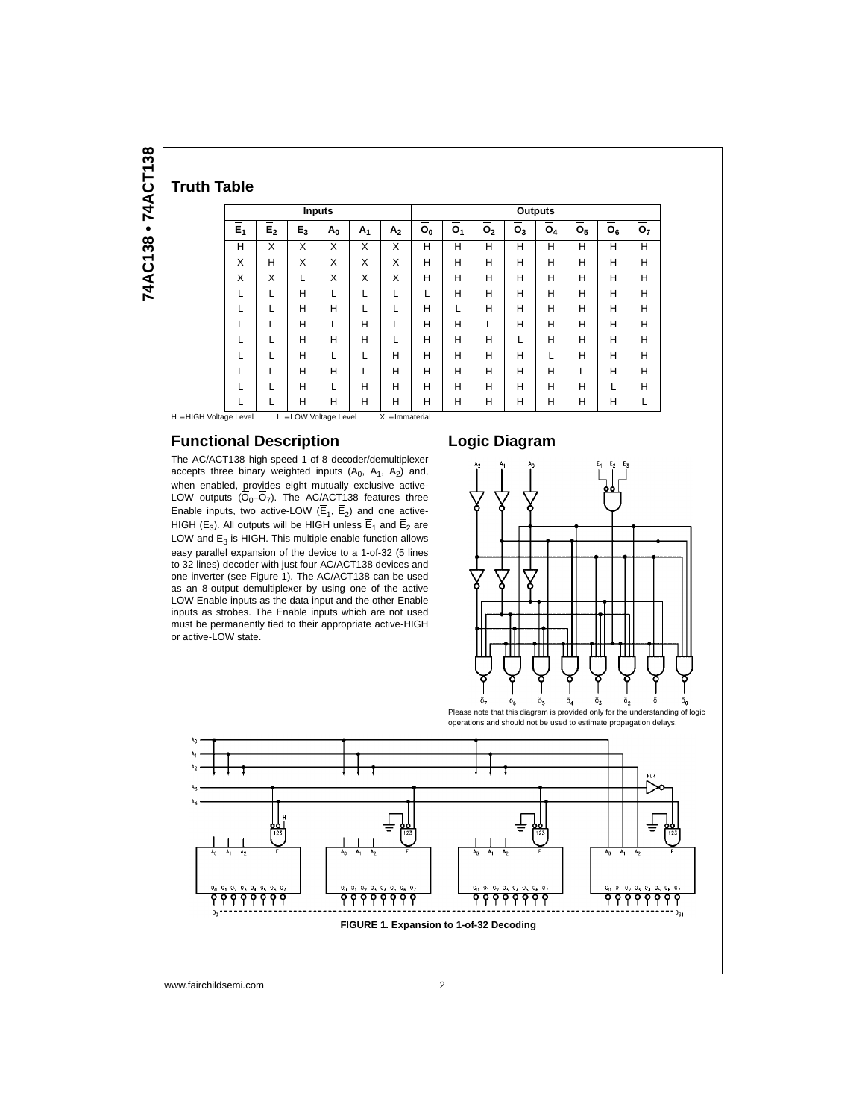| <b>Truth Table</b> |  |
|--------------------|--|

| œ |
|---|
| c |
| ۹ |
| ŕ |
|   |
| Ξ |
|   |

| TIULII TADI <del>c</del> |                  |                           |                       |       |       |                  |                |                |                |       |                |                |       |                |
|--------------------------|------------------|---------------------------|-----------------------|-------|-------|------------------|----------------|----------------|----------------|-------|----------------|----------------|-------|----------------|
|                          |                  |                           | <b>Inputs</b>         |       |       |                  | <b>Outputs</b> |                |                |       |                |                |       |                |
|                          | $\overline{E}_1$ | $\overline{\mathsf{E}_2}$ | $E_3$                 | $A_0$ | $A_1$ | A <sub>2</sub>   | $O_0$          | O <sub>1</sub> | O <sub>2</sub> | $O_3$ | O <sub>4</sub> | O <sub>5</sub> | $O_6$ | O <sub>7</sub> |
|                          | н                | X                         | X                     | X     | X     | X                | н              | Н              | H              | н     | Н              | H              | н     | н              |
|                          | X                | н                         | X                     | X     | X     | X                | н              | H              | н              | н     | Н              | н              | н     | н              |
|                          | X                | X                         | L                     | X     | X     | X                | н              | H              | Н              | н     | н              | н              | Н     | н              |
|                          | L                | L                         | н                     | L     | L     | L                | L              | H              | Н              | н     | н              | н              | н     | Н              |
|                          |                  |                           | н                     | н     | L     |                  | н              | L              | Н              | н     | Н              | н              | н     | н              |
|                          | L                |                           | н                     | L     | н     | L                | н              | H              | L              | н     | н              | н              | н     | Н              |
|                          |                  |                           | н                     | н     | н     |                  | н              | H              | Н              |       | н              | н              | Н     | Н              |
|                          | L                |                           | н                     | L     | L     | н                | н              | H              | Н              | н     |                | н              | н     | Н              |
|                          |                  |                           | н                     | н     |       | н                | н              | H              | Н              | н     | н              |                | Н     | Н              |
|                          |                  |                           | н                     | L     | н     | н                | н              | H              | Н              | н     | Н              | н              |       | Н              |
|                          | L                |                           | Н                     | н     | Н     | Н                | н              | H              | Н              | н     | Н              | н              | н     | L              |
| H = HIGH Voltage Level   |                  |                           | L = LOW Voltage Level |       |       | $X = Immaterial$ |                |                |                |       |                |                |       |                |

#### **Functional Description**

The AC/ACT138 high-speed 1-of-8 decoder/demultiplexer accepts three binary weighted inputs  $(A_0, A_1, A_2)$  and, when enabled, provides eight mutually exclusive active-LOW outputs  $(O_0$ –O<sub>7</sub>). The AC/ACT138 features three Enable inputs, two active-LOW  $(E_1, E_2)$  and one active-HIGH (E<sub>3</sub>). All outputs will be HIGH unless  $E_1$  and  $E_2$  are LOW and  $E_3$  is HIGH. This multiple enable function allows easy parallel expansion of the device to a 1-of-32 (5 lines to 32 lines) decoder with just four AC/ACT138 devices and one inverter (see Figure 1). The AC/ACT138 can be used as an 8-output demultiplexer by using one of the active LOW Enable inputs as the data input and the other Enable inputs as strobes. The Enable inputs which are not used must be permanently tied to their appropriate active-HIGH or active-LOW state.

#### **Logic Diagram**



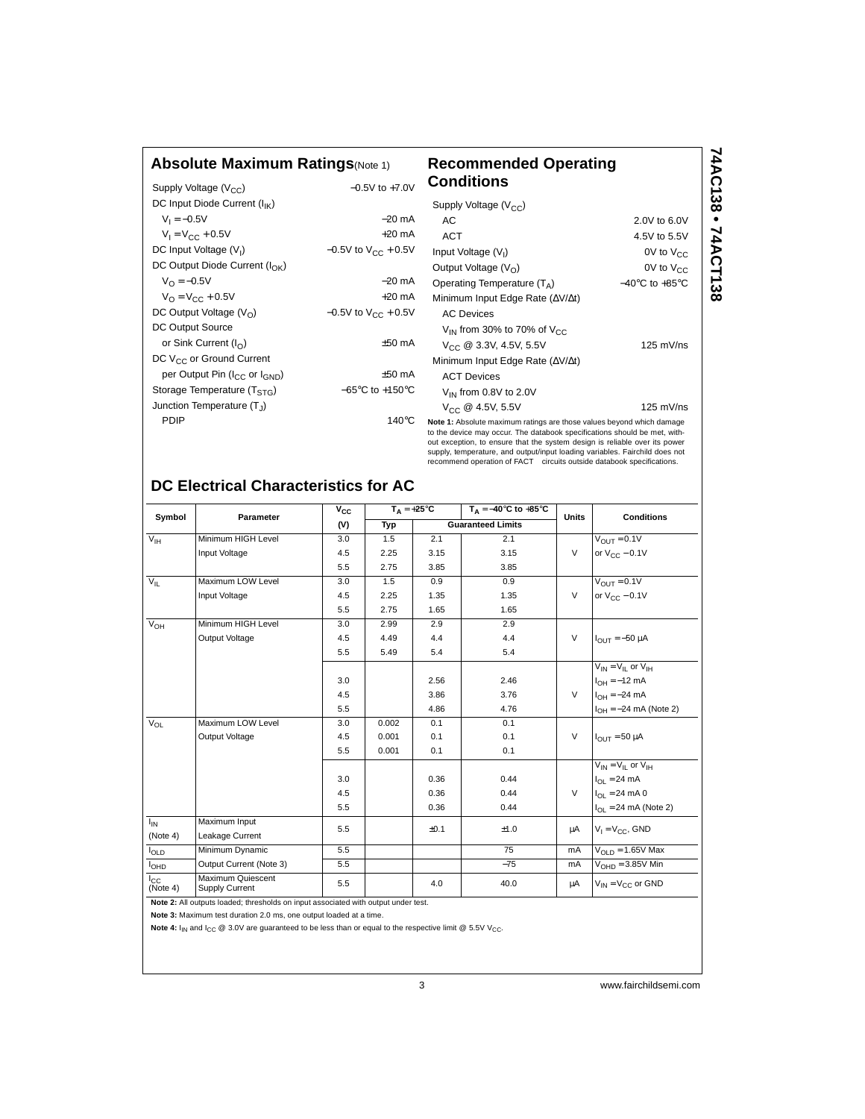| <b>Absolute Maximum Ratings</b> (Note 1)              |                                     | <b>Recommended Operating</b><br><b>Conditions</b>                                                                                                                                                                                                                                                                                                                                         |                                    |  |  |  |
|-------------------------------------------------------|-------------------------------------|-------------------------------------------------------------------------------------------------------------------------------------------------------------------------------------------------------------------------------------------------------------------------------------------------------------------------------------------------------------------------------------------|------------------------------------|--|--|--|
| Supply Voltage (V <sub>CC</sub> )                     | $-0.5V$ to $+7.0V$                  |                                                                                                                                                                                                                                                                                                                                                                                           |                                    |  |  |  |
| DC Input Diode Current (I <sub>IK</sub> )             |                                     | Supply Voltage $(V_{CC})$                                                                                                                                                                                                                                                                                                                                                                 |                                    |  |  |  |
| $V_1 = -0.5V$                                         | $-20$ mA                            | AC                                                                                                                                                                                                                                                                                                                                                                                        | 2.0V to 6.0V                       |  |  |  |
| $V_1 = V_{CC} + 0.5V$                                 | $+20$ mA                            | <b>ACT</b>                                                                                                                                                                                                                                                                                                                                                                                | 4.5V to 5.5V                       |  |  |  |
| DC Input Voltage (V <sub>I</sub> )                    | $-0.5V$ to $V_{CC}$ + 0.5V          | Input Voltage (V <sub>I</sub> )                                                                                                                                                                                                                                                                                                                                                           | $0V$ to $V_{CC}$                   |  |  |  |
| DC Output Diode Current $(I_{\cap K})$                |                                     | Output Voltage $(V0)$                                                                                                                                                                                                                                                                                                                                                                     | $0V$ to $V_{CC}$                   |  |  |  |
| $V_{\Omega} = -0.5V$                                  | $-20$ mA                            | Operating Temperature $(T_A)$                                                                                                                                                                                                                                                                                                                                                             | $-40^{\circ}$ C to $+85^{\circ}$ C |  |  |  |
| $V_{\Omega} = V_{\text{CC}} + 0.5V$                   | $+20$ mA                            | Minimum Input Edge Rate ( $\Delta V/\Delta t$ )                                                                                                                                                                                                                                                                                                                                           |                                    |  |  |  |
| DC Output Voltage $(VO)$                              | $-0.5V$ to $V_{CC}$ + 0.5V          | <b>AC Devices</b>                                                                                                                                                                                                                                                                                                                                                                         |                                    |  |  |  |
| DC Output Source                                      |                                     | $V_{IN}$ from 30% to 70% of $V_{CC}$                                                                                                                                                                                                                                                                                                                                                      |                                    |  |  |  |
| or Sink Current $(I_{\cap})$                          | $±50$ mA                            | $V_{CC}$ @ 3.3V, 4.5V, 5.5V                                                                                                                                                                                                                                                                                                                                                               | $125$ mV/ns                        |  |  |  |
| DC V <sub>CC</sub> or Ground Current                  |                                     | Minimum Input Edge Rate ( $\Delta V/\Delta t$ )                                                                                                                                                                                                                                                                                                                                           |                                    |  |  |  |
| per Output Pin (I <sub>CC</sub> or I <sub>GND</sub> ) | $+50$ mA                            | <b>ACT Devices</b>                                                                                                                                                                                                                                                                                                                                                                        |                                    |  |  |  |
| Storage Temperature $(T_{STG})$                       | $-65^{\circ}$ C to $+150^{\circ}$ C | $V_{IN}$ from 0.8V to 2.0V                                                                                                                                                                                                                                                                                                                                                                |                                    |  |  |  |
| Junction Temperature (T1)                             |                                     | $V_{CC}$ @ 4.5V, 5.5V                                                                                                                                                                                                                                                                                                                                                                     | $125 \text{ mV}$ /ns               |  |  |  |
| PDIP                                                  | $140^{\circ}$ C                     | Note 1: Absolute maximum ratings are those values beyond which damage<br>to the device may occur. The databook specifications should be met, with-<br>out exception, to ensure that the system design is reliable over its power<br>supply, temperature, and output/input loading variables. Fairchild does not<br>recommend operation of FACT™ circuits outside databook specifications. |                                    |  |  |  |

## **DC Electrical Characteristics for AC**

| Symbol                   | Parameter                           | $V_{CC}$ | $T_A = +25^{\circ}C$ |      | $T_A = -40^{\circ}$ C to $+85^{\circ}$ C | <b>Units</b> | <b>Conditions</b>                |  |
|--------------------------|-------------------------------------|----------|----------------------|------|------------------------------------------|--------------|----------------------------------|--|
|                          |                                     | (V)      | Typ                  |      | <b>Guaranteed Limits</b>                 |              |                                  |  |
| $V_{\text{IH}}$          | Minimum HIGH Level                  | 3.0      | 1.5                  | 2.1  | 2.1                                      |              | $V_{\text{OUT}} = 0.1V$          |  |
|                          | Input Voltage                       | 4.5      | 2.25                 | 3.15 | 3.15                                     | $\vee$       | or $V_{CC}$ – 0.1V               |  |
|                          |                                     | 5.5      | 2.75                 | 3.85 | 3.85                                     |              |                                  |  |
| $V_{IL}$                 | Maximum LOW Level                   | 3.0      | 1.5                  | 0.9  | 0.9                                      |              | $V_{OUIT} = 0.1V$                |  |
|                          | Input Voltage                       | 4.5      | 2.25                 | 1.35 | 1.35                                     | $\vee$       | or $V_{CC}$ – 0.1V               |  |
|                          |                                     | 5.5      | 2.75                 | 1.65 | 1.65                                     |              |                                  |  |
| $V_{OH}$                 | Minimum HIGH Level                  | 3.0      | 2.99                 | 2.9  | 2.9                                      |              |                                  |  |
|                          | Output Voltage                      | 4.5      | 4.49                 | 4.4  | 4.4                                      | $\vee$       | $I_{OIII} = -50 \mu A$           |  |
|                          |                                     | 5.5      | 5.49                 | 5.4  | 5.4                                      |              |                                  |  |
|                          |                                     |          |                      |      |                                          |              | $V_{IN} = V_{II}$ or $V_{IH}$    |  |
|                          |                                     | 3.0      |                      | 2.56 | 2.46                                     |              | $I_{OH} = -12$ mA                |  |
|                          |                                     | 4.5      |                      | 3.86 | 3.76                                     | $\vee$       | $I_{OH} = -24 \text{ mA}$        |  |
|                          |                                     | 5.5      |                      | 4.86 | 4.76                                     |              | $I_{OH} = -24$ mA (Note 2)       |  |
| $V_{OL}$                 | Maximum LOW Level                   | 3.0      | 0.002                | 0.1  | 0.1                                      |              |                                  |  |
|                          | Output Voltage                      | 4.5      | 0.001                | 0.1  | 0.1                                      | $\vee$       | $I_{OIII}$ = 50 µA               |  |
|                          |                                     | 5.5      | 0.001                | 0.1  | 0.1                                      |              |                                  |  |
|                          |                                     |          |                      |      |                                          |              | $V_{IN} = V_{II}$ or $V_{IH}$    |  |
|                          |                                     | 3.0      |                      | 0.36 | 0.44                                     |              | $I_{OL}$ = 24 mA                 |  |
|                          |                                     | 4.5      |                      | 0.36 | 0.44                                     | $\vee$       | $I_{\Omega I} = 24 \text{ mA} 0$ |  |
|                          |                                     | 5.5      |                      | 0.36 | 0.44                                     |              | $I_{OL}$ = 24 mA (Note 2)        |  |
| $I_{IN}$                 | Maximum Input                       | 5.5      |                      | ±0.1 | ±1.0                                     | μA           | $V_1 = V_{CC}$ , GND             |  |
| (Note 4)                 | Leakage Current                     |          |                      |      |                                          |              |                                  |  |
| $I_{OLD}$                | Minimum Dynamic                     | 5.5      |                      |      | 75                                       | mA           | $V_{\text{OI}}$ $p = 1.65V$ Max  |  |
| <b>I<sub>OHD</sub></b>   | Output Current (Note 3)             | 5.5      |                      |      | $-75$                                    | mA           | $VOHD = 3.85V$ Min               |  |
| $I_{\rm CC}$<br>(Note 4) | Maximum Quiescent<br>Supply Current | 5.5      |                      | 4.0  | 40.0                                     | μA           | $V_{IN} = V_{C}$ or GND          |  |

**Note 2:** All outputs loaded; thresholds on input associated with output under test.

**Note 3:** Maximum test duration 2.0 ms, one output loaded at a time.

Note 4:  $I_{IN}$  and  $I_{CC}$  @ 3.0V are guaranteed to be less than or equal to the respective limit @ 5.5V V<sub>CC</sub>.

3 www.fairchildsemi.com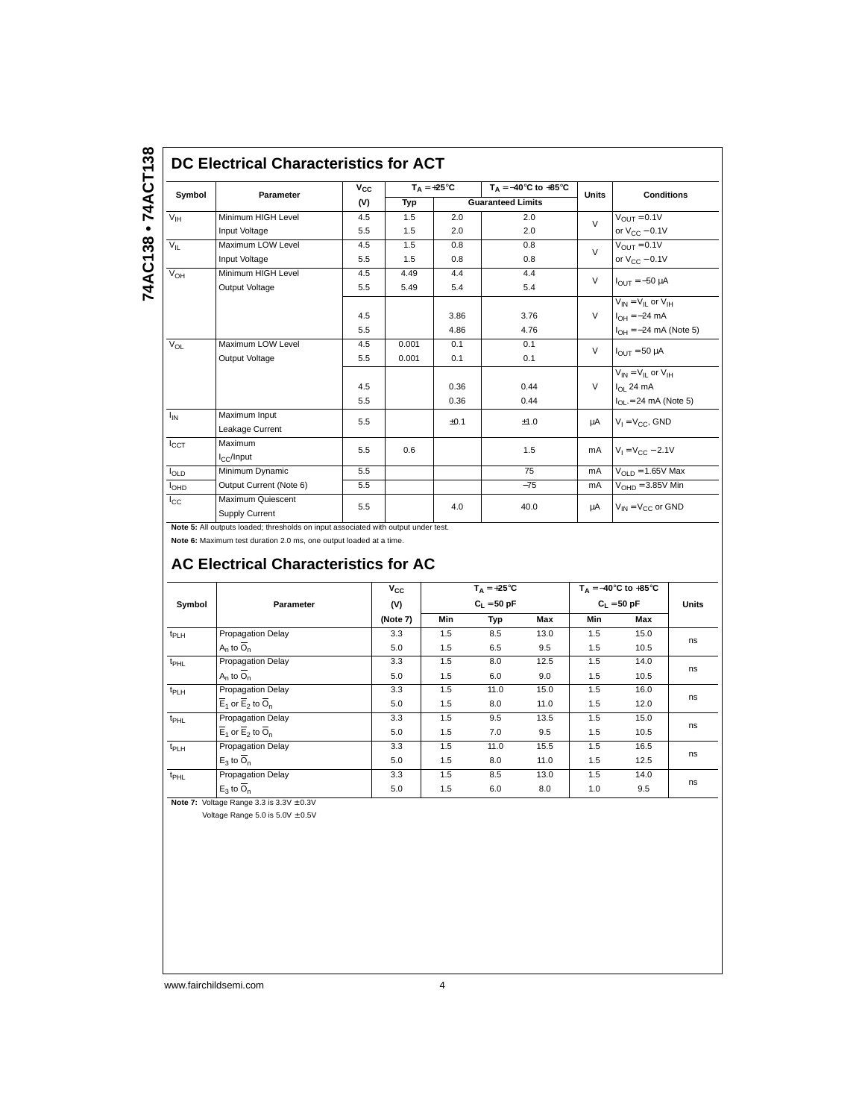#### **DC Electrical Characteristics for ACT**

| Symbol           | Parameter                           | $V_{CC}$ | $T_A = +25^{\circ}C$ |      | $T_A = -40$ °C to $+85$ °C | <b>Units</b> | <b>Conditions</b>                          |
|------------------|-------------------------------------|----------|----------------------|------|----------------------------|--------------|--------------------------------------------|
|                  |                                     | (V)      | Typ                  |      | <b>Guaranteed Limits</b>   |              |                                            |
| $V_{\text{IH}}$  | Minimum HIGH Level                  | 4.5      | 1.5                  | 2.0  | 2.0                        | $\vee$       | $V_{OUIT} = 0.1V$                          |
|                  | Input Voltage                       | 5.5      | 1.5                  | 2.0  | 2.0                        |              | or $V_{CC}$ – 0.1V                         |
| $V_{\parallel}$  | Maximum LOW Level                   | 4.5      | 1.5                  | 0.8  | 0.8                        | $\vee$       | $V_{OIII} = 0.1V$                          |
|                  | Input Voltage                       | 5.5      | 1.5                  | 0.8  | 0.8                        |              | or $V_{CC}$ – 0.1V                         |
| $V_{OH}$         | Minimum HIGH Level                  | 4.5      | 4.49                 | 4.4  | 4.4                        | $\vee$       |                                            |
|                  | Output Voltage                      | 5.5      | 5.49                 | 5.4  | 5.4                        |              | $I_{\text{OUT}} = -50 \mu A$               |
|                  |                                     |          |                      |      |                            |              | $\overline{V_{IN}}$ = $V_{IL}$ or $V_{IH}$ |
|                  |                                     | 4.5      |                      | 3.86 | 3.76                       | $\vee$       | $I_{OH} = -24 \text{ mA}$                  |
|                  |                                     | 5.5      |                      | 4.86 | 4.76                       |              | $I_{OH} = -24$ mA (Note 5)                 |
| $V_{OL}$         | Maximum LOW Level                   | 4.5      | 0.001                | 0.1  | 0.1                        | $\vee$       | $I_{OIII}$ = 50 µA                         |
|                  | Output Voltage                      | 5.5      | 0.001                | 0.1  | 0.1                        |              |                                            |
|                  |                                     |          |                      |      |                            |              | $V_{IN} = V_{II}$ or $V_{IH}$              |
|                  |                                     | 4.5      |                      | 0.36 | 0.44                       | $\vee$       | $I_{OL}$ 24 mA                             |
|                  |                                     | 5.5      |                      | 0.36 | 0.44                       |              | $I_{\text{OI}} = 24 \text{ mA}$ (Note 5)   |
| $I_{IN}$         | Maximum Input                       | 5.5      |                      | ±0.1 | ±1.0                       | μA           | $V_1 = V_{CC}$ , GND                       |
|                  | Leakage Current                     |          |                      |      |                            |              |                                            |
| $I_{CCT}$        | Maximum                             | 5.5      | 0.6                  |      | 1.5                        | mA           | $V_1 = V_{CC} - 2.1V$                      |
|                  | $I_{C}$ /Input                      |          |                      |      |                            |              |                                            |
| $I_{OLD}$        | Minimum Dynamic                     | 5.5      |                      |      | 75                         | mA           | $V_{OLD} = 1.65V$ Max                      |
| I <sub>OHD</sub> | Output Current (Note 6)             | 5.5      |                      |      | $-75$                      | mA           | $VOHD = 3.85V$ Min                         |
| $I_{\rm CC}$     | Maximum Quiescent<br>Supply Current | 5.5      |                      | 4.0  | 40.0                       | μA           | $V_{IN} = V_{C}C$ or GND                   |

**Note 5:** All outputs loaded; thresholds on input associated with output under test.

**Note 6:** Maximum test duration 2.0 ms, one output loaded at a time.

## **AC Electrical Characteristics for AC**

|                  |                                                          | $v_{\rm cc}$ |               | $T_{\Delta} = +25^{\circ}C$ |      |               | $T_A = -40^\circ \text{C}$ to $+85^\circ \text{C}$ |    |
|------------------|----------------------------------------------------------|--------------|---------------|-----------------------------|------|---------------|----------------------------------------------------|----|
| Symbol           | Parameter                                                | (V)          | $C_1 = 50 pF$ |                             |      | $C_1 = 50 pF$ | <b>Units</b>                                       |    |
|                  |                                                          | (Note 7)     | Min           | Typ                         | Max  | Min           | Max                                                |    |
| $t_{PLH}$        | <b>Propagation Delay</b>                                 | 3.3          | 1.5           | 8.5                         | 13.0 | 1.5           | 15.0                                               |    |
|                  | $A_n$ to $O_n$                                           | 5.0          | 1.5           | 6.5                         | 9.5  | 1.5           | 10.5                                               | ns |
| $t_{PHL}$        | Propagation Delay                                        | 3.3          | 1.5           | 8.0                         | 12.5 | 1.5           | 14.0                                               | ns |
|                  | $A_n$ to $O_n$                                           | 5.0          | 1.5           | 6.0                         | 9.0  | 1.5           | 10.5                                               |    |
| $t_{PLH}$        | Propagation Delay                                        | 3.3          | 1.5           | 11.0                        | 15.0 | 1.5           | 16.0                                               | ns |
|                  | $\overline{E}_1$ or $\overline{E}_2$ to $\overline{O}_n$ | 5.0          | 1.5           | 8.0                         | 11.0 | 1.5           | 12.0                                               |    |
| $t_{\text{PHL}}$ | Propagation Delay                                        | 3.3          | 1.5           | 9.5                         | 13.5 | 1.5           | 15.0                                               |    |
|                  | $E_1$ or $E_2$ to $\overline{O}_n$                       | 5.0          | 1.5           | 7.0                         | 9.5  | 1.5           | 10.5                                               | ns |
| $t_{PLH}$        | Propagation Delay                                        | 3.3          | 1.5           | 11.0                        | 15.5 | 1.5           | 16.5                                               |    |
|                  | $E_3$ to $\overline{O}_n$                                | 5.0          | 1.5           | 8.0                         | 11.0 | 1.5           | 12.5                                               | ns |
| t <sub>PHL</sub> | Propagation Delay                                        | 3.3          | 1.5           | 8.5                         | 13.0 | 1.5           | 14.0                                               |    |
|                  | $E_3$ to $\overline{O}_n$                                | 5.0          | 1.5           | 6.0                         | 8.0  | 1.0           | 9.5                                                | ns |

**Note 7:** Voltage Range 3.3 is  $3.3V \pm 0.3V$ 

Voltage Range  $5.0$  is  $5.0V \pm 0.5V$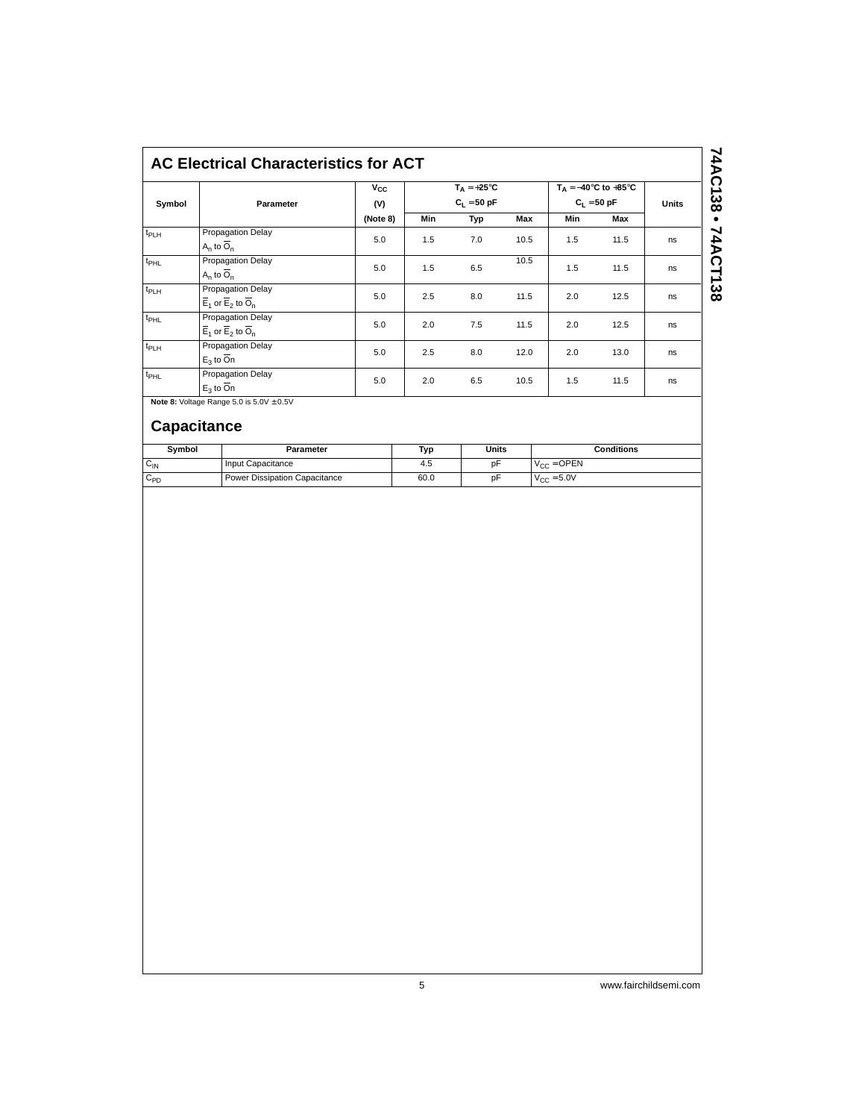## **AC Electrical Characteristics for ACT**

| Symbol           | Parameter                                                                     | $v_{\rm cc}$<br>(V) | $T_A = +25^{\circ}C$<br>$C_1 = 50$ pF |     |      | $T_A = -40$ °C to +85°C<br>$C_1 = 50 pF$ | <b>Units</b> |    |
|------------------|-------------------------------------------------------------------------------|---------------------|---------------------------------------|-----|------|------------------------------------------|--------------|----|
|                  |                                                                               | (Note 8)            | Min                                   | Typ | Max  | Min                                      | Max          |    |
| $t_{PLH}$        | <b>Propagation Delay</b><br>$A_n$ to $O_n$                                    | 5.0                 | 1.5                                   | 7.0 | 10.5 | 1.5                                      | 11.5         | ns |
| t <sub>PHL</sub> | Propagation Delay<br>$A_n$ to $O_n$                                           | 5.0                 | 1.5                                   | 6.5 | 10.5 | 1.5                                      | 11.5         | ns |
| $t_{PLH}$        | Propagation Delay<br>$\overline{E}_1$ or $\overline{E}_2$ to $\overline{O}_n$ | 5.0                 | 2.5                                   | 8.0 | 11.5 | 2.0                                      | 12.5         | ns |
| t <sub>PHL</sub> | Propagation Delay<br>$\overline{E}_1$ or $\overline{E}_2$ to $\overline{O}_n$ | 5.0                 | 2.0                                   | 7.5 | 11.5 | 2.0                                      | 12.5         | ns |
| $t_{PLH}$        | <b>Propagation Delay</b><br>$E_3$ to $\overline{O}n$                          | 5.0                 | 2.5                                   | 8.0 | 12.0 | 2.0                                      | 13.0         | ns |
| $t_{PHL}$        | Propagation Delay<br>$E_3$ to $\overline{O}n$                                 | 5.0                 | 2.0                                   | 6.5 | 10.5 | 1.5                                      | 11.5         | ns |

**Note 8: Voltage Range 5.0 is**  $5.0V \pm 0.5V$ 

### **Capacitance**

| Svmbol          | Parameter                     | Typ  | Units | Conditions      |
|-----------------|-------------------------------|------|-------|-----------------|
| $C_{\text{IN}}$ | Input Capacitance             | 4.5  | pF    | $V_{CC} =$ OPEN |
| $C_{PD}$        | Power Dissipation Capacitance | 60.0 | pF    | $V_{CC} = 5.0V$ |

74AC138 • 74ACT138 **74AC138 • 74ACT138**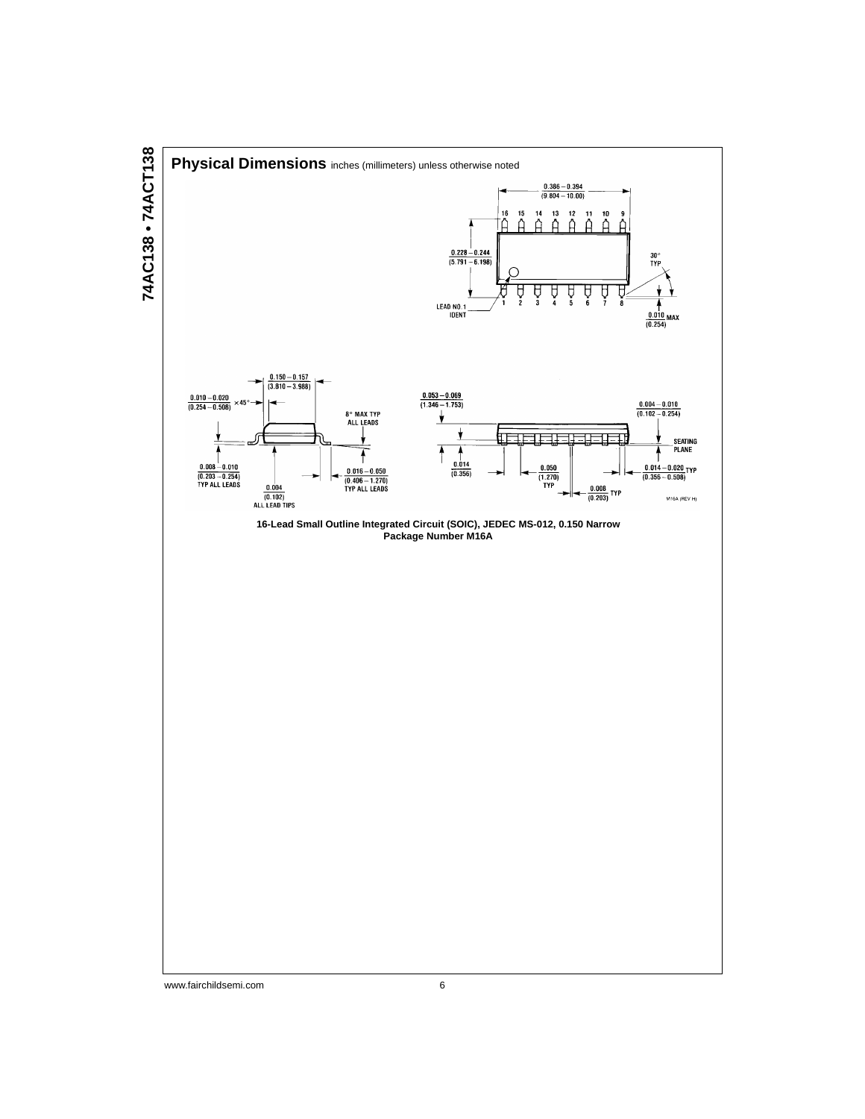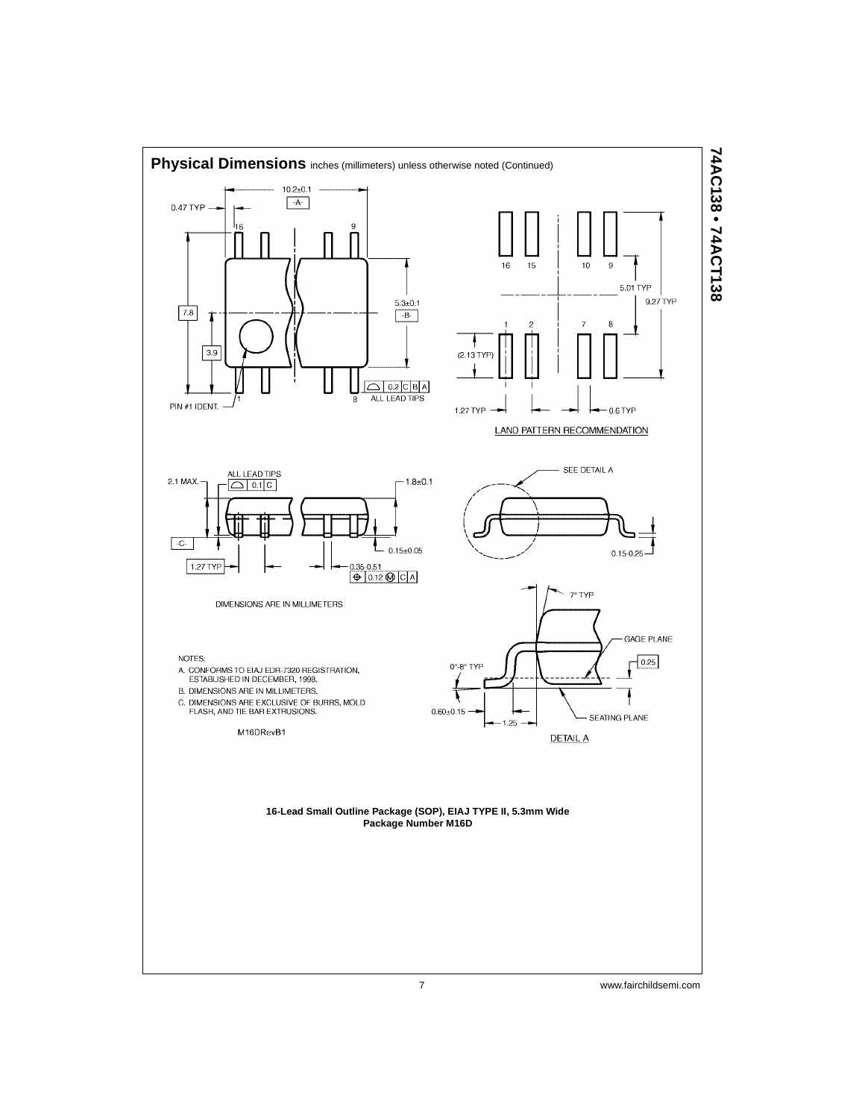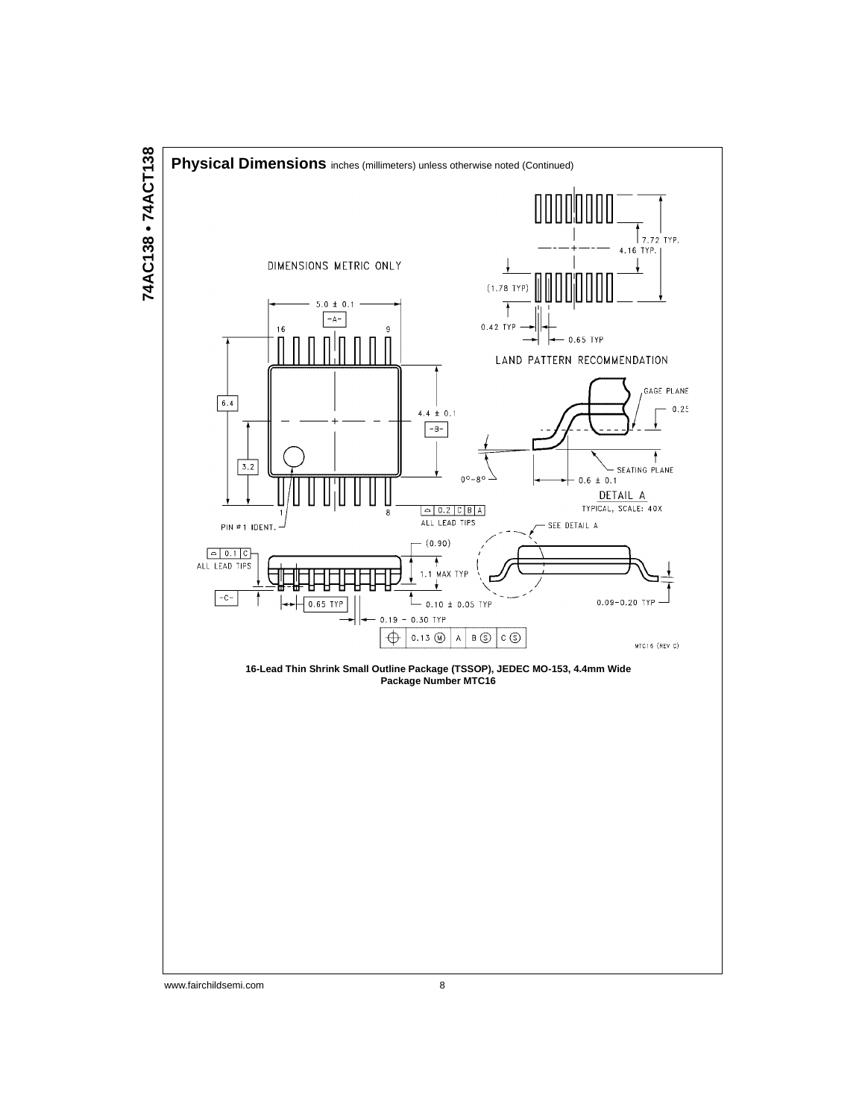

# 74AC138 • 74ACT138 **74AC138 • 74ACT138**